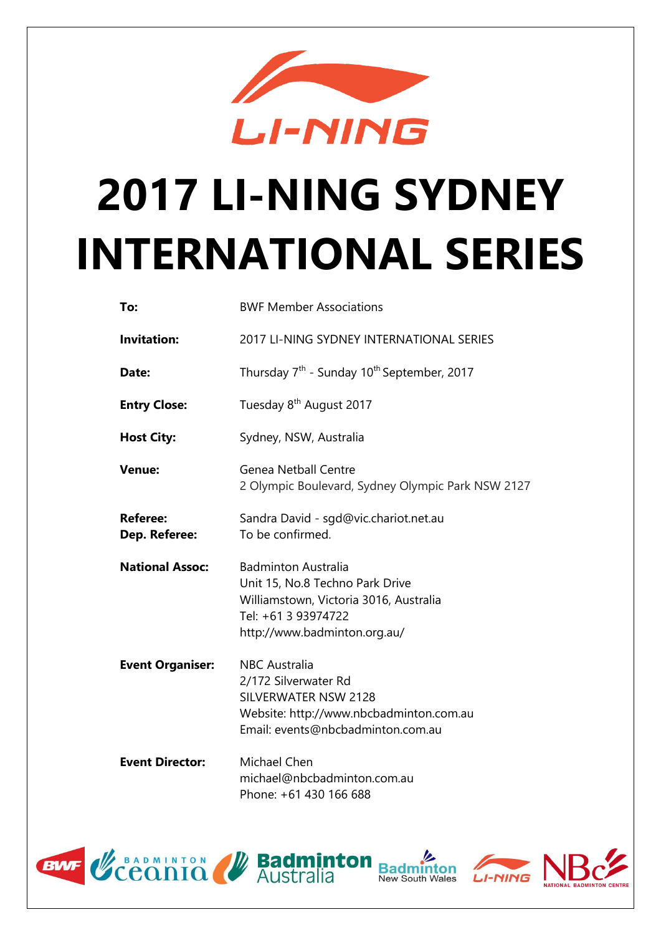

# **2017 LI-NING SYDNEY INTERNATIONAL SERIES**

| To:                              | <b>BWF Member Associations</b>                                                                                                                                 |  |
|----------------------------------|----------------------------------------------------------------------------------------------------------------------------------------------------------------|--|
| <b>Invitation:</b>               | 2017 LI-NING SYDNEY INTERNATIONAL SERIES                                                                                                                       |  |
| Date:                            | Thursday 7 <sup>th</sup> - Sunday 10 <sup>th</sup> September, 2017                                                                                             |  |
| <b>Entry Close:</b>              | Tuesday 8 <sup>th</sup> August 2017                                                                                                                            |  |
| <b>Host City:</b>                | Sydney, NSW, Australia                                                                                                                                         |  |
| <b>Venue:</b>                    | <b>Genea Netball Centre</b><br>2 Olympic Boulevard, Sydney Olympic Park NSW 2127                                                                               |  |
| <b>Referee:</b><br>Dep. Referee: | Sandra David - sgd@vic.chariot.net.au<br>To be confirmed.                                                                                                      |  |
| <b>National Assoc:</b>           | <b>Badminton Australia</b><br>Unit 15, No.8 Techno Park Drive<br>Williamstown, Victoria 3016, Australia<br>Tel: +61 3 93974722<br>http://www.badminton.org.au/ |  |
| <b>Event Organiser:</b>          |                                                                                                                                                                |  |
|                                  | <b>NBC</b> Australia<br>2/172 Silverwater Rd<br><b>SILVERWATER NSW 2128</b><br>Website: http://www.nbcbadminton.com.au<br>Email: events@nbcbadminton.com.au    |  |



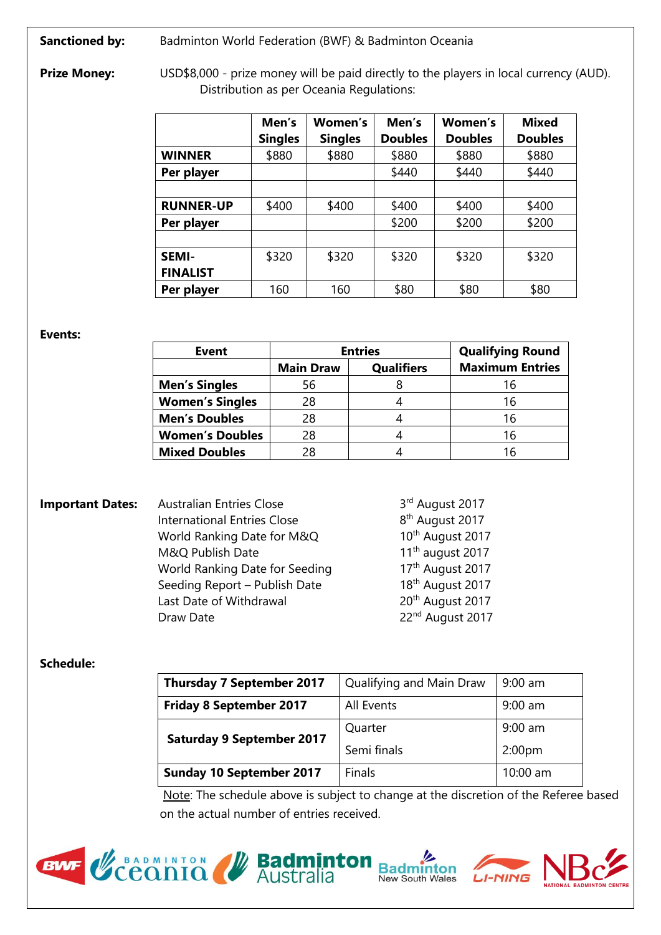**Sanctioned by:** Badminton World Federation (BWF) & Badminton Oceania

**Prize Money:** USD\$8,000 - prize money will be paid directly to the players in local currency (AUD). Distribution as per Oceania Regulations:

|                  | Men's          | Women's        | Men's          | Women's        | <b>Mixed</b>   |
|------------------|----------------|----------------|----------------|----------------|----------------|
|                  | <b>Singles</b> | <b>Singles</b> | <b>Doubles</b> | <b>Doubles</b> | <b>Doubles</b> |
| <b>WINNER</b>    | \$880          | \$880          | \$880          | \$880          | \$880          |
| Per player       |                |                | \$440          | \$440          | \$440          |
|                  |                |                |                |                |                |
| <b>RUNNER-UP</b> | \$400          | \$400          | \$400          | \$400          | \$400          |
| Per player       |                |                | \$200          | \$200          | \$200          |
|                  |                |                |                |                |                |
| <b>SEMI-</b>     | \$320          | \$320          | \$320          | \$320          | \$320          |
| <b>FINALIST</b>  |                |                |                |                |                |
| Per player       | 160            | 160            | \$80           | \$80           | \$80           |

**Events:**

| <b>Event</b>           |                  | <b>Entries</b>    | <b>Qualifying Round</b> |
|------------------------|------------------|-------------------|-------------------------|
|                        | <b>Main Draw</b> | <b>Qualifiers</b> | <b>Maximum Entries</b>  |
| <b>Men's Singles</b>   | 56               |                   | 16                      |
| <b>Women's Singles</b> | 28               |                   | 16                      |
| <b>Men's Doubles</b>   | 28               |                   | 16                      |
| <b>Women's Doubles</b> | 28               |                   | 16                      |
| <b>Mixed Doubles</b>   | 28               |                   | 16                      |

| <b>Important Dates:</b> | <b>Australian Entries Close</b>    | 3rd August 2017              |
|-------------------------|------------------------------------|------------------------------|
|                         | <b>International Entries Close</b> | 8 <sup>th</sup> August 2017  |
|                         | World Ranking Date for M&Q         | 10 <sup>th</sup> August 2017 |
|                         | M&Q Publish Date                   | $11th$ august 2017           |
|                         | World Ranking Date for Seeding     | 17th August 2017             |
|                         | Seeding Report - Publish Date      | 18 <sup>th</sup> August 2017 |
|                         | Last Date of Withdrawal            | 20 <sup>th</sup> August 2017 |
|                         | Draw Date                          | 22 <sup>nd</sup> August 2017 |
|                         |                                    |                              |

## **Schedule:**

| <b>Thursday 7 September 2017</b> | Qualifying and Main Draw | $9:00$ am          |
|----------------------------------|--------------------------|--------------------|
| <b>Friday 8 September 2017</b>   | All Events               | $9:00$ am          |
| <b>Saturday 9 September 2017</b> | Quarter                  | $9:00$ am          |
|                                  | Semi finals              | 2:00 <sub>pm</sub> |
| <b>Sunday 10 September 2017</b>  | <b>Finals</b>            | $10:00$ am         |

Note: The schedule above is subject to change at the discretion of the Referee based on the actual number of entries received.



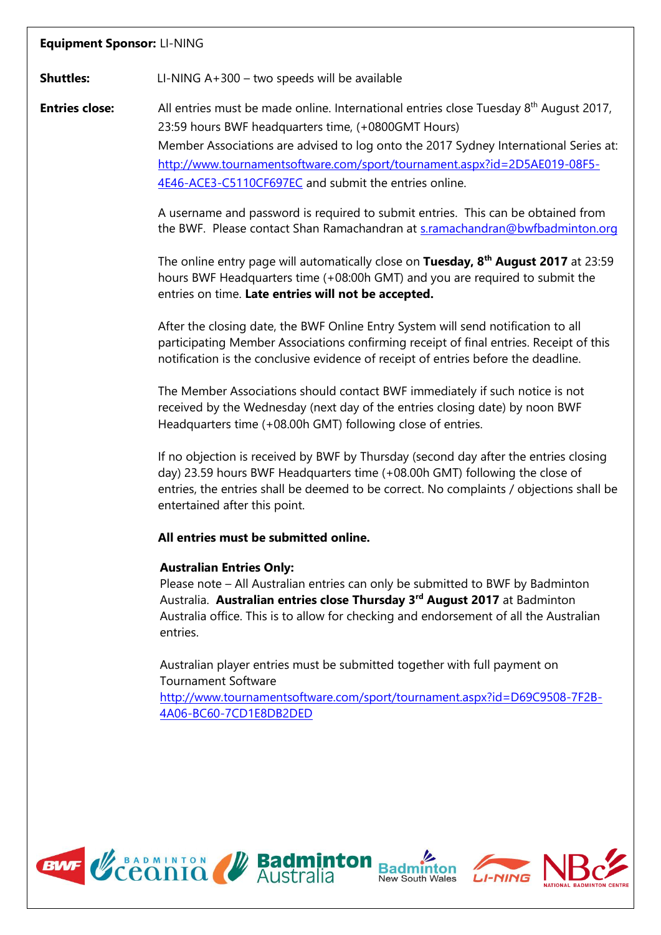## **Equipment Sponsor:** LI-NING

**Shuttles:** LI-NING A+300 – two speeds will be available

**Entries close:** All entries must be made online. International entries close Tuesday 8<sup>th</sup> August 2017, 23:59 hours BWF headquarters time, (+0800GMT Hours) Member Associations are advised to log onto the 2017 Sydney International Series at: [http://www.tournamentsoftware.com/sport/tournament.aspx?id=2D5AE019-08F5-](http://www.tournamentsoftware.com/sport/tournament.aspx?id=2D5AE019-08F5-4E46-ACE3-C5110CF697EC) [4E46-ACE3-C5110CF697EC](http://www.tournamentsoftware.com/sport/tournament.aspx?id=2D5AE019-08F5-4E46-ACE3-C5110CF697EC) and submit the entries online.

> A username and password is required to submit entries. This can be obtained from the BWF. Please contact Shan Ramachandran at [s.ramachandran@bwfbadminton.org](mailto:s.ramachandran@bwfbadminton.org)

> The online entry page will automatically close on **Tuesday, 8 th August 2017** at 23:59 hours BWF Headquarters time (+08:00h GMT) and you are required to submit the entries on time. **Late entries will not be accepted.**

> After the closing date, the BWF Online Entry System will send notification to all participating Member Associations confirming receipt of final entries. Receipt of this notification is the conclusive evidence of receipt of entries before the deadline.

The Member Associations should contact BWF immediately if such notice is not received by the Wednesday (next day of the entries closing date) by noon BWF Headquarters time (+08.00h GMT) following close of entries.

If no objection is received by BWF by Thursday (second day after the entries closing day) 23.59 hours BWF Headquarters time (+08.00h GMT) following the close of entries, the entries shall be deemed to be correct. No complaints / objections shall be entertained after this point.

### **All entries must be submitted online.**

### **Australian Entries Only:**

Please note – All Australian entries can only be submitted to BWF by Badminton Australia. **Australian entries close Thursday 3 rd August 2017** at Badminton Australia office. This is to allow for checking and endorsement of all the Australian entries.

Australian player entries must be submitted together with full payment on Tournament Software

[http://www.tournamentsoftware.com/sport/tournament.aspx?id=D69C9508-7F2B-](http://www.tournamentsoftware.com/sport/tournament.aspx?id=D69C9508-7F2B-4A06-BC60-7CD1E8DB2DED)[4A06-BC60-7CD1E8DB2DED](http://www.tournamentsoftware.com/sport/tournament.aspx?id=D69C9508-7F2B-4A06-BC60-7CD1E8DB2DED)





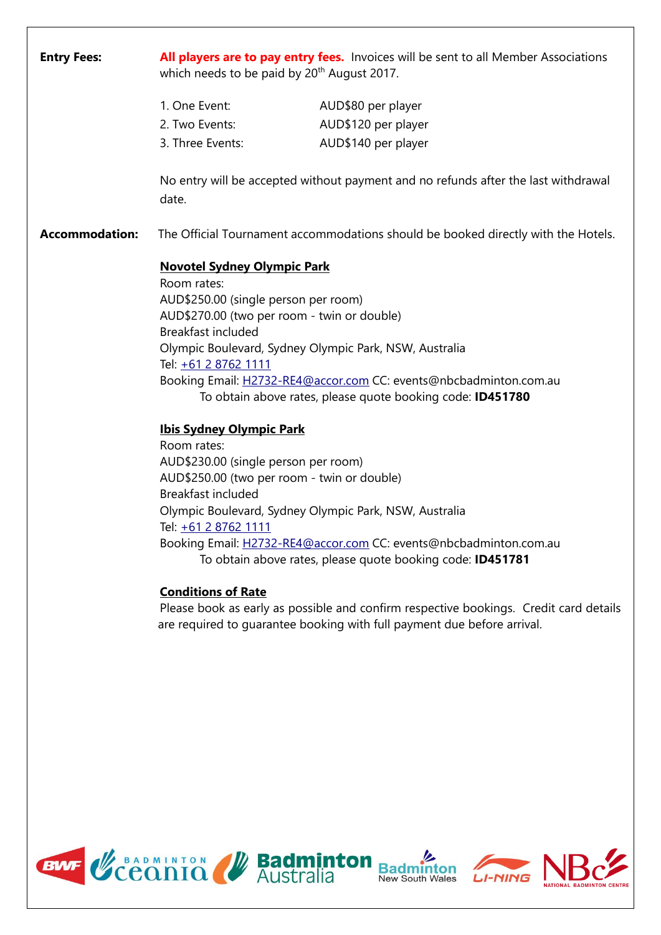| <b>Entry Fees:</b>    | which needs to be paid by 20 <sup>th</sup> August 2017.                                                                                                                                       | All players are to pay entry fees. Invoices will be sent to all Member Associations                                                                                                       |
|-----------------------|-----------------------------------------------------------------------------------------------------------------------------------------------------------------------------------------------|-------------------------------------------------------------------------------------------------------------------------------------------------------------------------------------------|
|                       | 1. One Event:                                                                                                                                                                                 | AUD\$80 per player                                                                                                                                                                        |
|                       | 2. Two Events:                                                                                                                                                                                | AUD\$120 per player                                                                                                                                                                       |
|                       | 3. Three Events:                                                                                                                                                                              | AUD\$140 per player                                                                                                                                                                       |
|                       | date.                                                                                                                                                                                         | No entry will be accepted without payment and no refunds after the last withdrawal                                                                                                        |
| <b>Accommodation:</b> |                                                                                                                                                                                               | The Official Tournament accommodations should be booked directly with the Hotels.                                                                                                         |
|                       | <b>Novotel Sydney Olympic Park</b><br>Room rates:<br>AUD\$250.00 (single person per room)<br>AUD\$270.00 (two per room - twin or double)<br><b>Breakfast included</b><br>Tel: +61 2 8762 1111 | Olympic Boulevard, Sydney Olympic Park, NSW, Australia<br>Booking Email: H2732-RE4@accor.com CC: events@nbcbadminton.com.au<br>To obtain above rates, please quote booking code: ID451780 |
|                       | <b>Ibis Sydney Olympic Park</b>                                                                                                                                                               |                                                                                                                                                                                           |
|                       | Room rates:                                                                                                                                                                                   |                                                                                                                                                                                           |
|                       | AUD\$230.00 (single person per room)<br>AUD\$250.00 (two per room - twin or double)                                                                                                           |                                                                                                                                                                                           |
|                       | <b>Breakfast included</b>                                                                                                                                                                     |                                                                                                                                                                                           |
|                       |                                                                                                                                                                                               | Olympic Boulevard, Sydney Olympic Park, NSW, Australia                                                                                                                                    |
|                       | Tel: +61 2 8762 1111                                                                                                                                                                          |                                                                                                                                                                                           |
|                       |                                                                                                                                                                                               | Booking Email: H2732-RE4@accor.com CC: events@nbcbadminton.com.au<br>To obtain above rates, please quote booking code: ID451781                                                           |
|                       | <b>Conditions of Rate</b>                                                                                                                                                                     |                                                                                                                                                                                           |

Please book as early as possible and confirm respective bookings. Credit card details are required to guarantee booking with full payment due before arrival.

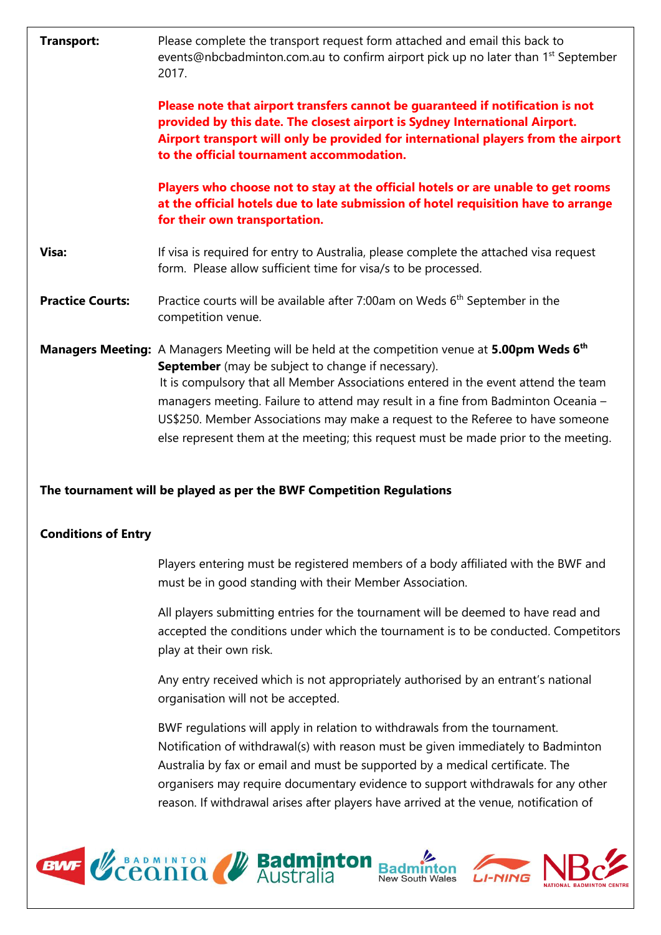| <b>Transport:</b>       | Please complete the transport request form attached and email this back to<br>events@nbcbadminton.com.au to confirm airport pick up no later than 1 <sup>st</sup> September<br>2017.                                                                                                                                                                                                                                                                                                                                  |
|-------------------------|-----------------------------------------------------------------------------------------------------------------------------------------------------------------------------------------------------------------------------------------------------------------------------------------------------------------------------------------------------------------------------------------------------------------------------------------------------------------------------------------------------------------------|
|                         | Please note that airport transfers cannot be guaranteed if notification is not<br>provided by this date. The closest airport is Sydney International Airport.<br>Airport transport will only be provided for international players from the airport<br>to the official tournament accommodation.                                                                                                                                                                                                                      |
|                         | Players who choose not to stay at the official hotels or are unable to get rooms<br>at the official hotels due to late submission of hotel requisition have to arrange<br>for their own transportation.                                                                                                                                                                                                                                                                                                               |
| Visa:                   | If visa is required for entry to Australia, please complete the attached visa request<br>form. Please allow sufficient time for visa/s to be processed.                                                                                                                                                                                                                                                                                                                                                               |
| <b>Practice Courts:</b> | Practice courts will be available after 7:00am on Weds 6 <sup>th</sup> September in the<br>competition venue.                                                                                                                                                                                                                                                                                                                                                                                                         |
|                         | <b>Managers Meeting:</b> A Managers Meeting will be held at the competition venue at <b>5.00pm Weds 6th</b><br>September (may be subject to change if necessary).<br>It is compulsory that all Member Associations entered in the event attend the team<br>managers meeting. Failure to attend may result in a fine from Badminton Oceania -<br>US\$250. Member Associations may make a request to the Referee to have someone<br>else represent them at the meeting; this request must be made prior to the meeting. |

**The tournament will be played as per the BWF Competition Regulations**

## **Conditions of Entry**

Players entering must be registered members of a body affiliated with the BWF and must be in good standing with their Member Association.

All players submitting entries for the tournament will be deemed to have read and accepted the conditions under which the tournament is to be conducted. Competitors play at their own risk.

Any entry received which is not appropriately authorised by an entrant's national organisation will not be accepted.

BWF regulations will apply in relation to withdrawals from the tournament. Notification of withdrawal(s) with reason must be given immediately to Badminton Australia by fax or email and must be supported by a medical certificate. The organisers may require documentary evidence to support withdrawals for any other reason. If withdrawal arises after players have arrived at the venue, notification of

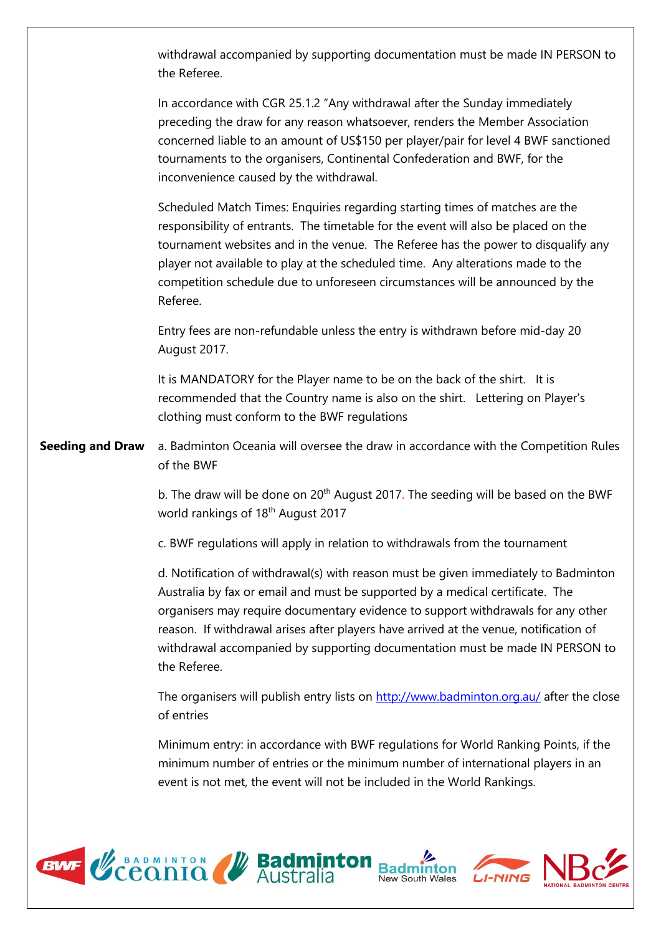withdrawal accompanied by supporting documentation must be made IN PERSON to the Referee.

In accordance with CGR 25.1.2 "Any withdrawal after the Sunday immediately preceding the draw for any reason whatsoever, renders the Member Association concerned liable to an amount of US\$150 per player/pair for level 4 BWF sanctioned tournaments to the organisers, Continental Confederation and BWF, for the inconvenience caused by the withdrawal.

Scheduled Match Times: Enquiries regarding starting times of matches are the responsibility of entrants. The timetable for the event will also be placed on the tournament websites and in the venue. The Referee has the power to disqualify any player not available to play at the scheduled time. Any alterations made to the competition schedule due to unforeseen circumstances will be announced by the Referee.

Entry fees are non-refundable unless the entry is withdrawn before mid-day 20 August 2017.

It is MANDATORY for the Player name to be on the back of the shirt. It is recommended that the Country name is also on the shirt. Lettering on Player's clothing must conform to the BWF regulations

**Seeding and Draw** a. Badminton Oceania will oversee the draw in accordance with the Competition Rules of the BWF

> b. The draw will be done on 20<sup>th</sup> August 2017. The seeding will be based on the BWF world rankings of 18<sup>th</sup> August 2017

c. BWF regulations will apply in relation to withdrawals from the tournament

d. Notification of withdrawal(s) with reason must be given immediately to Badminton Australia by fax or email and must be supported by a medical certificate. The organisers may require documentary evidence to support withdrawals for any other reason. If withdrawal arises after players have arrived at the venue, notification of withdrawal accompanied by supporting documentation must be made IN PERSON to the Referee.

The organisers will publish entry lists on<http://www.badminton.org.au/> after the close of entries

Minimum entry: in accordance with BWF regulations for World Ranking Points, if the minimum number of entries or the minimum number of international players in an event is not met, the event will not be included in the World Rankings.